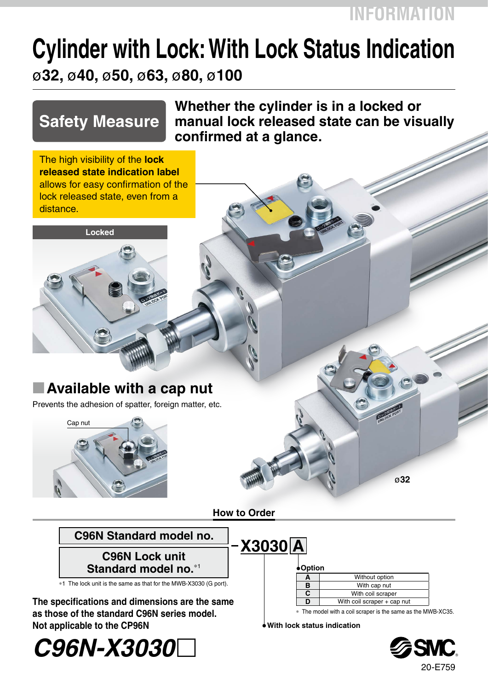## **INFORMATION**

# **Cylinder with Lock: With Lock Status Indication** ø**32,** ø**40,** ø**50,** ø**63,** ø**80,** ø**100**

## **Safety Measure**

**Locked**

**Whether the cylinder is in a locked or manual lock released state can be visually confirmed at a glance.**

The high visibility of the **lock released state indication label** allows for easy confirmation of the lock released state, even from a distance.

## **E** Available with a cap nut

Prevents the adhesion of spatter, foreign matter, etc.



#### **How to Order**

|  | C96N Standard model no. |  |
|--|-------------------------|--|
|  |                         |  |

**C96N Lock unit Standard model no.**\*<sup>1</sup>

 $*1$  The lock unit is the same as that for the MWB-X3030 (G port).

**The specifications and dimensions are the same as those of the standard C96N series model. Not applicable to the CP96N**

**Option A** Without option **B** With cap nut **C** With coil scraper<br> **D** With coil scraper + ca With coil scraper + cap nut **X3030 A**

The model with a coil scraper is the same as the MWB-XC35.

ø**32**

**With lock status indication**